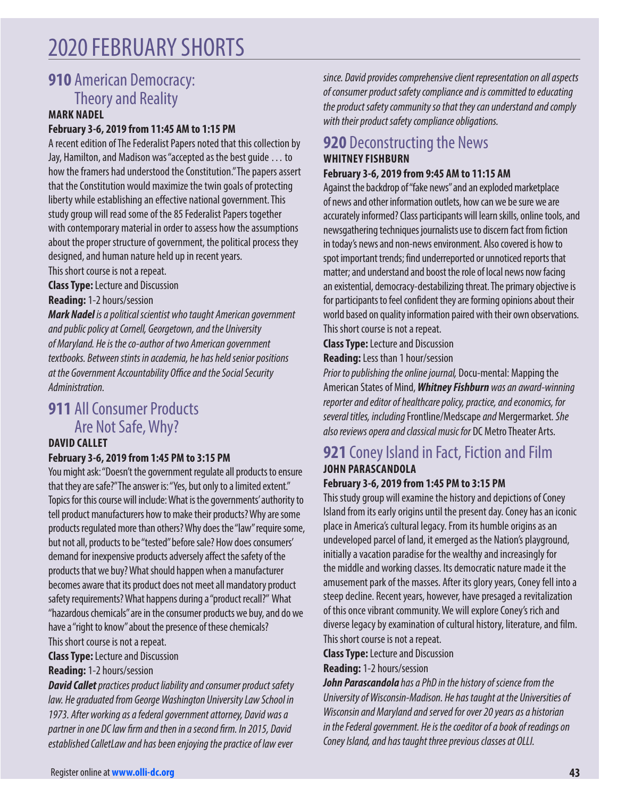# 2020 FEBRUARY SHORTS

## **910** American Democracy: Theory and Reality

#### **MARK NADEL**

#### **February 3-6, 2019 from 11:45 AM to 1:15 PM**

A recent edition of The Federalist Papers noted that this collection by Jay, Hamilton, and Madison was "accepted as the best guide … to how the framers had understood the Constitution." The papers assert that the Constitution would maximize the twin goals of protecting liberty while establishing an effective national government. This study group will read some of the 85 Federalist Papers together with contemporary material in order to assess how the assumptions about the proper structure of government, the political process they designed, and human nature held up in recent years.

This short course is not a repeat.

**Class Type:** Lecture and Discussion

**Reading:** 1-2 hours/session

**Mark Nadel** is a political scientist who taught American government and public policy at Cornell, Georgetown, and the University of Maryland. He is the co-author of two American government textbooks. Between stints in academia, he has held senior positions at the Government Accountability O*ffic*e and the Social Security Administration.

## **911 All Consumer Products** Are Not Safe, Why?

#### **DAVID CALLET**

#### **February 3-6, 2019 from 1:45 PM to 3:15 PM**

You might ask: "Doesn't the government regulate all products to ensure that they are safe?" The answer is: "Yes, but only to a limited extent." Topics for this course will include: What is the governments' authority to tell product manufacturers how to make their products? Why are some products regulated more than others? Why does the "law" require some, but not all, products to be "tested" before sale? How does consumers' demand for inexpensive products adversely affect the safety of the products that we buy? What should happen when a manufacturer becomes aware that its product does not meet all mandatory product safety requirements? What happens during a "product recall?" What "hazardous chemicals" are in the consumer products we buy, and do we have a "right to know" about the presence of these chemicals? This short course is not a repeat.

**Class Type:** Lecture and Discussion

**Reading:** 1-2 hours/session

**David Callet** practices product liability and consumer product safety law. He graduated from George Washington University Law School in 1973. After working as a federal government attorney, David was a partner in one DC la*w fir*m and then in a sec*ond fir*m. In 2015, David established CalletLaw and has been enjoying the practice of law ever

since. David provides comprehensive client representation on all aspects of consumer product safety compliance and is committed to educating the product safety community so that they can understand and comply with their product safety compliance obligations.

### **920** Deconstructing the News **WHITNEY FISHBURN**

#### **February 3-6, 2019 from 9:45 AM to 11:15 AM**

Against the backdrop of "fake news" and an exploded marketplace of news and other information outlets, how can we be sure we are accurately informed? Class participants will learn skills, online tools, and newsgathering techniques journalists use to discern fact from fiction in today's news and non-news environment. Also covered is how to spot important trends; find underreported or unnoticed reports that matter; and understand and boost the role of local news now facing an existential, democracy-destabilizing threat. The primary objective is for participants to feel confident they are forming opinions about their world based on quality information paired with their own observations. This short course is not a repeat.

**Class Type:** Lecture and Discussion

**Reading:** Less than 1 hour/session

Prior to publishing the online journal, Docu-mental: Mapping the American States of Mind, **Whitney Fishburn** was an award-winning reporter and editor of healthcare policy, practice, and economics, for several titles, including Frontline/Medscape and Mergermarket. She also reviews opera and classical music for DC Metro Theater Arts.

## **921** Coney Island in Fact, Fiction and Film **JOHN PARASCANDOLA**

#### **February 3-6, 2019 from 1:45 PM to 3:15 PM**

This study group will examine the history and depictions of Coney Island from its early origins until the present day. Coney has an iconic place in America's cultural legacy. From its humble origins as an undeveloped parcel of land, it emerged as the Nation's playground, initially a vacation paradise for the wealthy and increasingly for the middle and working classes. Its democratic nature made it the amusement park of the masses. After its glory years, Coney fell into a steep decline. Recent years, however, have presaged a revitalization of this once vibrant community. We will explore Coney's rich and diverse legacy by examination of cultural history, literature, and film. This short course is not a repeat.

**Class Type:** Lecture and Discussion

**Reading:** 1-2 hours/session

**John Parascandola** has a PhD in the history of science from the University of Wisconsin-Madison. He has taught at the Universities of Wisconsin and Maryland and served for over 20 years as a historian in the Federal government. He is the coeditor of a book of readings on Coney Island, and has taught three previous classes at OLLI.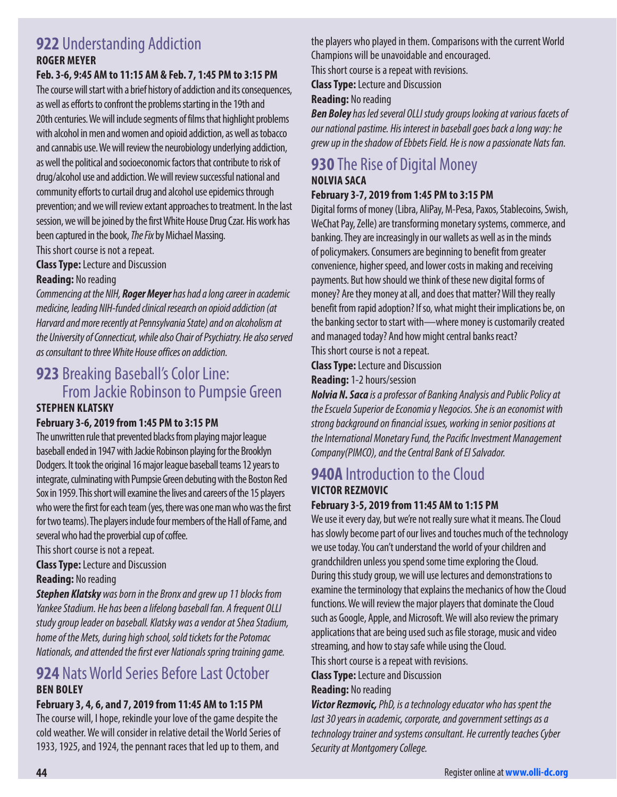### **922** Understanding Addiction **ROGER MEYER**

#### **Feb. 3-6, 9:45 AM to 11:15 AM & Feb. 7, 1:45 PM to 3:15 PM**

The course will start with a brief history of addiction and its consequences, as well as efforts to confront the problems starting in the 19th and 20th centuries. We will include segments of films that highlight problems with alcohol in men and women and opioid addiction, as well as tobacco and cannabis use. We will review the neurobiology underlying addiction, as well the political and socioeconomic factors that contribute to risk of drug/alcohol use and addiction. We will review successful national and community efforts to curtail drug and alcohol use epidemics through prevention; and we will review extant approaches to treatment. In the last session, we will be joined by the first White House Drug Czar. His work has been captured in the book, The Fix by Michael Massing.

This short course is not a repeat.

**Class Type:** Lecture and Discussion

#### **Reading:** No reading

Commencing at the NIH, **Roger Meyer** has had a long career in academic medicine, leading NIH-funded clinical research on opioid addiction (at Harvard and more recently at Pennsylvania State) and on alcoholism at the University of Connecticut, while also Chair of Psychiatry. He also served as consultant to three White House offices on addiction.

### **923** Breaking Baseball's Color Line: From Jackie Robinson to Pumpsie Green **STEPHEN KLATSKY**

#### **February 3-6, 2019 from 1:45 PM to 3:15 PM**

The unwritten rule that prevented blacks from playing major league baseball ended in 1947 with Jackie Robinson playing for the Brooklyn Dodgers. It took the original 16 major league baseball teams 12 years to integrate, culminating with Pumpsie Green debuting with the Boston Red Sox in 1959. This short will examine the lives and careers of the 15 players who were the first for each team (yes, there was one man who was the first for two teams). The players include four members of the Hall of Fame, and several who had the proverbial cup of coffee.

This short course is not a repeat.

**Class Type:** Lecture and Discussion

#### **Reading:** No reading

**Stephen Klatsky** was born in the Bronx and grew up 11 blocks from Yankee Stadium. He has been a lifelong baseball fan. A frequent OLLI study group leader on baseball. Klatsky was a vendor at Shea Stadium, home of the Mets, during high school, sold tickets for the Potomac Nationals, and att*ended the first ev*er Nationals spring training game.

## **924** Nats World Series Before Last October **BEN BOLEY**

#### **February 3, 4, 6, and 7, 2019 from 11:45 AM to 1:15 PM**

The course will, I hope, rekindle your love of the game despite the cold weather. We will consider in relative detail the World Series of 1933, 1925, and 1924, the pennant races that led up to them, and

the players who played in them. Comparisons with the current World Champions will be unavoidable and encouraged. This short course is a repeat with revisions.

**Class Type:** Lecture and Discussion

#### **Reading:** No reading

**Ben Boley** has led several OLLI study groups looking at various facets of our national pastime. His interest in baseball goes back a long way: he grew up in the shadow of Ebbets Field. He is now a passionate Nats fan.

#### **930** The Rise of Digital Money **NOLVIA SACA**

#### **February 3-7, 2019 from 1:45 PM to 3:15 PM**

Digital forms of money (Libra, AliPay, M-Pesa, Paxos, Stablecoins, Swish, WeChat Pay, Zelle) are transforming monetary systems, commerce, and banking. They are increasingly in our wallets as well as in the minds of policymakers. Consumers are beginning to benefit from greater convenience, higher speed, and lower costs in making and receiving payments. But how should we think of these new digital forms of money? Are they money at all, and does that matter? Will they really benefit from rapid adoption? If so, what might their implications be, on the banking sector to start with—where money is customarily created and managed today? And how might central banks react? This short course is not a repeat.

**Class Type:** Lecture and Discussion

#### **Reading:** 1-2 hours/session

**Nolvia N. Saca** is a professor of Banking Analysis and Public Policy at the Escuela Superior de Economia y Negocios. She is an economist with strong backgr*ound on financ*ial issues, working in senior positions at the International Monetary Fund, the Pac*ific In*vestment Management Company(PIMCO), and the Central Bank of El Salvador.

### **940A** Introduction to the Cloud **VICTOR REZMOVIC**

#### **February 3-5, 2019 from 11:45 AM to 1:15 PM**

We use it every day, but we're not really sure what it means. The Cloud has slowly become part of our lives and touches much of the technology we use today. You can't understand the world of your children and grandchildren unless you spend some time exploring the Cloud. During this study group, we will use lectures and demonstrations to examine the terminology that explains the mechanics of how the Cloud functions. We will review the major players that dominate the Cloud such as Google, Apple, and Microsoft. We will also review the primary applications that are being used such as file storage, music and video streaming, and how to stay safe while using the Cloud.

This short course is a repeat with revisions.

**Class Type:** Lecture and Discussion

#### **Reading:** No reading

**Victor Rezmovic,** PhD, is a technology educator who has spent the last 30 years in academic, corporate, and government settings as a technology trainer and systems consultant. He currently teaches Cyber Security at Montgomery College.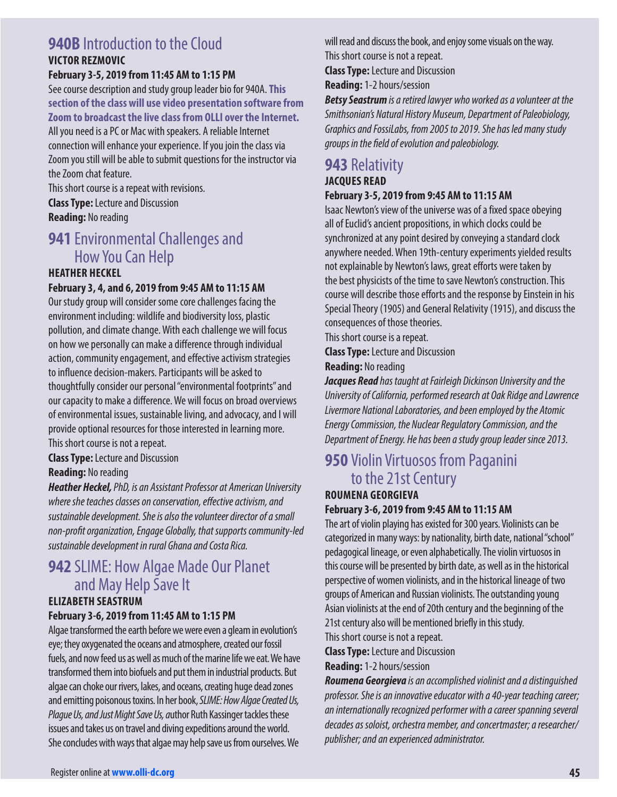#### **940B** Introduction to the Cloud **VICTOR REZMOVIC**

#### **February 3-5, 2019 from 11:45 AM to 1:15 PM**

See course description and study group leader bio for 940A. **This section of the class will use video presentation software from Zoom to broadcast the live class from OLLI over the Internet.**  All you need is a PC or Mac with speakers. A reliable Internet connection will enhance your experience. If you join the class via Zoom you still will be able to submit questions for the instructor via the Zoom chat feature.

This short course is a repeat with revisions. **Class Type:** Lecture and Discussion **Reading:** No reading

## **941** Environmental Challenges and How You Can Help

#### **HEATHER HECKEL**

#### **February 3, 4, and 6, 2019 from 9:45 AM to 11:15 AM**

Our study group will consider some core challenges facing the environment including: wildlife and biodiversity loss, plastic pollution, and climate change. With each challenge we will focus on how we personally can make a difference through individual action, community engagement, and effective activism strategies to influence decision-makers. Participants will be asked to thoughtfully consider our personal "environmental footprints" and our capacity to make a difference. We will focus on broad overviews of environmental issues, sustainable living, and advocacy, and I will provide optional resources for those interested in learning more. This short course is not a repeat.

**Class Type:** Lecture and Discussion

**Reading:** No reading

**Heather Heckel,** PhD, is an Assistant Professor at American University where she teaches classes on conserva*tion, eff*ective activism, and sustainable development. She is also the volunteer director of a small non-pr*ofit or*ganization, Engage Globally, that supports community-led sustainable development in rural Ghana and Costa Rica.

#### **942** SLIME: How Algae Made Our Planet and May Help Save It **ELIZABETH SEASTRUM**

#### **February 3-6, 2019 from 11:45 AM to 1:15 PM**

Algae transformed the earth before we were even a gleam in evolution's eye; they oxygenated the oceans and atmosphere, created our fossil fuels, and now feed us as well as much of the marine life we eat. We have transformed them into biofuels and put them in industrial products. But algae can choke our rivers, lakes, and oceans, creating huge dead zones and emitting poisonous toxins. In her book, SLIME: How Algae Created Us, Plague Us, and Just Might Save Us, author Ruth Kassinger tackles these issues and takes us on travel and diving expeditions around the world. She concludes with ways that algae may help save us from ourselves. We

will read and discuss the book, and enjoy some visuals on the way. This short course is not a repeat.

**Class Type:** Lecture and Discussion

**Reading:** 1-2 hours/session

**Betsy Seastrum** is a retired lawyer who worked as a volunteer at the Smithsonian's Natural History Museum, Department of Paleobiology, Graphics and FossiLabs, from 2005 to 2019. She has led many study gr*oups in the field of ev*olution and paleobiology.

#### **943** Relativity **JACQUES READ**

#### **February 3-5, 2019 from 9:45 AM to 11:15 AM**

Isaac Newton's view of the universe was of a fixed space obeying all of Euclid's ancient propositions, in which clocks could be synchronized at any point desired by conveying a standard clock anywhere needed. When 19th-century experiments yielded results not explainable by Newton's laws, great efforts were taken by the best physicists of the time to save Newton's construction. This course will describe those efforts and the response by Einstein in his Special Theory (1905) and General Relativity (1915), and discuss the consequences of those theories.

This short course is a repeat.

**Class Type:** Lecture and Discussion

**Reading:** No reading

**Jacques Read** has taught at Fairleigh Dickinson University and the University of California, performed research at Oak Ridge and Lawrence Livermore National Laboratories, and been employed by the Atomic Energy Commission, the Nuclear Regulatory Commission, and the Department of Energy. He has been a study group leader since 2013.

## **950** Violin Virtuosos from Paganini to the 21st Century

## **ROUMENA GEORGIEVA**

#### **February 3-6, 2019 from 9:45 AM to 11:15 AM**

The art of violin playing has existed for 300 years. Violinists can be categorized in many ways: by nationality, birth date, national "school" pedagogical lineage, or even alphabetically. The violin virtuosos in this course will be presented by birth date, as well as in the historical perspective of women violinists, and in the historical lineage of two groups of American and Russian violinists. The outstanding young Asian violinists at the end of 20th century and the beginning of the 21st century also will be mentioned briefly in this study. This short course is not a repeat.

**Class Type:** Lecture and Discussion

**Reading:** 1-2 hours/session

**Roumena Georgieva** is an accomplished violinist and a distinguished professor. She is an innovative educator with a 40-year teaching career; an internationally recognized performer with a career spanning several decades as soloist, orchestra member, and concertmaster; a researcher/ publisher; and an experienced administrator.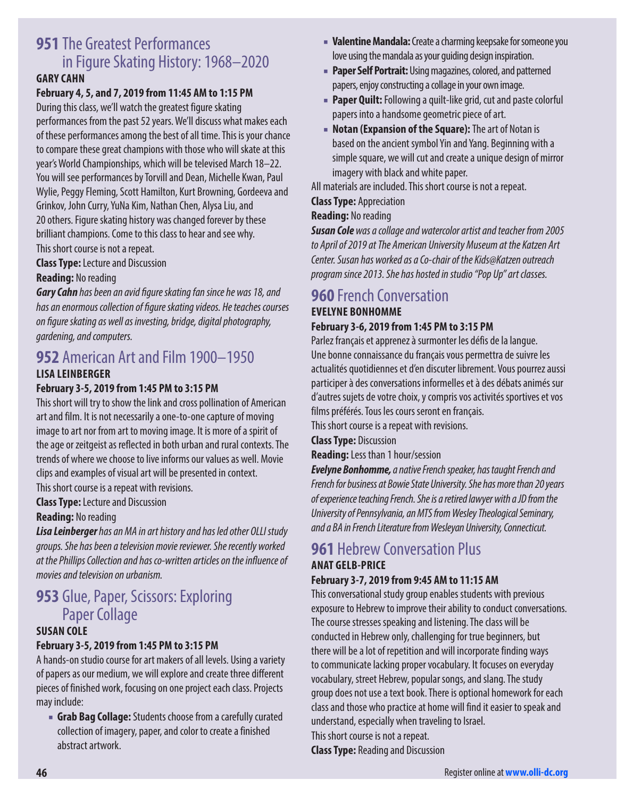## **951** The Greatest Performances in Figure Skating History: 1968–2020

#### **GARY CAHN**

#### **February 4, 5, and 7, 2019 from 11:45 AM to 1:15 PM**

During this class, we'll watch the greatest figure skating performances from the past 52 years. We'll discuss what makes each of these performances among the best of all time. This is your chance to compare these great champions with those who will skate at this year's World Championships, which will be televised March 18–22. You will see performances by Torvill and Dean, Michelle Kwan, Paul Wylie, Peggy Fleming, Scott Hamilton, Kurt Browning, Gordeeva and Grinkov, John Curry, YuNa Kim, Nathan Chen, Alysa Liu, and 20 others. Figure skating history was changed forever by these brilliant champions. Come to this class to hear and see why.

This short course is not a repeat.

**Class Type:** Lecture and Discussion

#### **Reading:** No reading

**Gary Cahn** has been an a*vid figur*e skating fan since he was 18, and has an enormous collec*tion of figur*e skating videos. He teaches courses *on figur*e skating as well as investing, bridge, digital photography, gardening, and computers.

## **952** American Art and Film 1900–1950

#### **LISA LEINBERGER**

#### **February 3-5, 2019 from 1:45 PM to 3:15 PM**

This short will try to show the link and cross pollination of American art and film. It is not necessarily a one-to-one capture of moving image to art nor from art to moving image. It is more of a spirit of the age or zeitgeist as reflected in both urban and rural contexts. The trends of where we choose to live informs our values as well. Movie clips and examples of visual art will be presented in context. This short course is a repeat with revisions.

#### **Class Type:** Lecture and Discussion

#### **Reading:** No reading

**Lisa Leinberger** has an MA in art history and has led other OLLI study groups. She has been a television movie reviewer. She recently worked at the Phillips Collection and has co-written ar*ticles on the influenc*e of movies and television on urbanism.

## **953** Glue, Paper, Scissors: Exploring Paper Collage

#### **SUSAN COLE**

#### **February 3-5, 2019 from 1:45 PM to 3:15 PM**

A hands-on studio course for art makers of all levels. Using a variety of papers as our medium, we will explore and create three different pieces of finished work, focusing on one project each class. Projects may include:

■ **Grab Bag Collage:** Students choose from a carefully curated collection of imagery, paper, and color to create a finished abstract artwork.

- **Valentine Mandala:** Create a charming keepsake for someone you love using the mandala as your guiding design inspiration.
- **Paper Self Portrait:** Using magazines, colored, and patterned papers, enjoy constructing a collage in your own image.
- **Paper Quilt:** Following a quilt-like grid, cut and paste colorful papers into a handsome geometric piece of art.
- **Notan (Expansion of the Square):** The art of Notan is based on the ancient symbol Yin and Yang. Beginning with a simple square, we will cut and create a unique design of mirror imagery with black and white paper.

All materials are included. This short course is not a repeat.

#### **Class Type:** Appreciation

#### **Reading:** No reading

**Susan Cole** was a collage and watercolor artist and teacher from 2005 to April of 2019 at The American University Museum at the Katzen Art Center. Susan has worked as a Co-chair of the Kids@Katzen outreach program since 2013. She has hosted in studio "Pop Up" art classes.

## **960** French Conversation

## **EVELYNE BONHOMME**

#### **February 3-6, 2019 from 1:45 PM to 3:15 PM**

Parlez français et apprenez à surmonter les défis de la langue. Une bonne connaissance du français vous permettra de suivre les actualités quotidiennes et d'en discuter librement. Vous pourrez aussi participer à des conversations informelles et à des débats animés sur d'autres sujets de votre choix, y compris vos activités sportives et vos films préférés. Tous les cours seront en français.

This short course is a repeat with revisions.

**Class Type:** Discussion

**Reading:** Less than 1 hour/session

**Evelyne Bonhomme,** a native French speaker, has taught French and French for business at Bowie State University. She has more than 20 years of experience teaching French. She is a retired lawyer with a JD from the University of Pennsylvania, an MTS from Wesley Theological Seminary, and a BA in French Literature from Wesleyan University, Connecticut.

## **961 Hebrew Conversation Plus**

#### **ANAT GELB-PRICE February 3-7, 2019 from 9:45 AM to 11:15 AM**

This conversational study group enables students with previous exposure to Hebrew to improve their ability to conduct conversations. The course stresses speaking and listening. The class will be conducted in Hebrew only, challenging for true beginners, but there will be a lot of repetition and will incorporate finding ways to communicate lacking proper vocabulary. It focuses on everyday vocabulary, street Hebrew, popular songs, and slang. The study group does not use a text book. There is optional homework for each class and those who practice at home will find it easier to speak and understand, especially when traveling to Israel. This short course is not a repeat.

**Class Type:** Reading and Discussion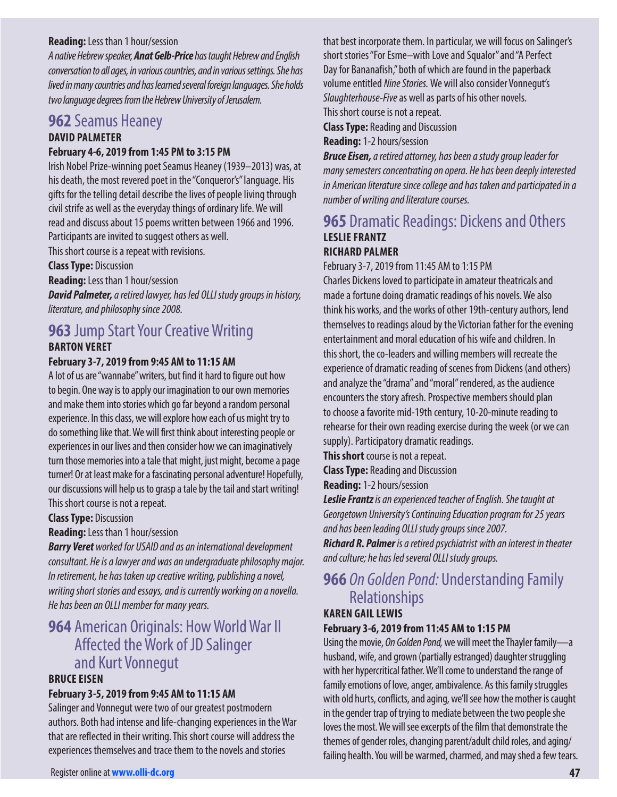#### **Reading:** Less than 1 hour/session

A native Hebrew speaker, **Anat Gelb-Price** has taught Hebrew and English conversation to all ages, in various countries, and in various settings. She has lived in many countries and has learned several foreign languages. She holds two language degrees from the Hebrew University of Jerusalem.

#### **962** Seamus Heaney **DAVID PALMETER**

#### **February 4-6, 2019 from 1:45 PM to 3:15 PM**

Irish Nobel Prize-winning poet Seamus Heaney (1939–2013) was, at his death, the most revered poet in the "Conqueror's" language. His gifts for the telling detail describe the lives of people living through civil strife as well as the everyday things of ordinary life. We will read and discuss about 15 poems written between 1966 and 1996. Participants are invited to suggest others as well.

This short course is a repeat with revisions.

#### **Class Type:** Discussion

**Reading:** Less than 1 hour/session

**David Palmeter,** a retired lawyer, has led OLLI study groups in history, literature, and philosophy since 2008.

## **963** Jump Start Your Creative Writing

#### **BARTON VERET**

#### **February 3-7, 2019 from 9:45 AM to 11:15 AM**

A lot of us are "wannabe" writers, but find it hard to figure out how to begin. One way is to apply our imagination to our own memories and make them into stories which go far beyond a random personal experience. In this class, we will explore how each of us might try to do something like that. We will first think about interesting people or experiences in our lives and then consider how we can imaginatively turn those memories into a tale that might, just might, become a page turner! Or at least make for a fascinating personal adventure! Hopefully, our discussions will help us to grasp a tale by the tail and start writing! This short course is not a repeat.

#### **Class Type:** Discussion

**Reading:** Less than 1 hour/session

**Barry Veret** worked for USAID and as an international development consultant. He is a lawyer and was an undergraduate philosophy major. In retirement, he has taken up creative writing, publishing a novel, writing short stories and essays, and is currently working on a novella. He has been an OLLI member for many years.

## **964** American Originals: How World War II Affected the Work of JD Salinger and Kurt Vonnegut

#### **BRUCE EISEN**

#### **February 3-5, 2019 from 9:45 AM to 11:15 AM**

Salinger and Vonnegut were two of our greatest postmodern authors. Both had intense and life-changing experiences in the War that are reflected in their writing. This short course will address the experiences themselves and trace them to the novels and stories

that best incorporate them. In particular, we will focus on Salinger's short stories "For Esme–with Love and Squalor" and "A Perfect Day for Bananafish," both of which are found in the paperback volume entitled Nine Stories. We will also consider Vonnegut's Slaughterhouse-Five as well as parts of his other novels. This short course is not a repeat.

**Class Type:** Reading and Discussion

**Reading:** 1-2 hours/session

**Bruce Eisen,** a retired attorney, has been a study group leader for many semesters concentrating on opera. He has been deeply interested in American literature since college and has taken and participated in a number of writing and literature courses.

#### **965** Dramatic Readings: Dickens and Others **LESLIE FRANTZ RICHARD PALMER**

February 3-7, 2019 from 11:45 AM to 1:15 PM

Charles Dickens loved to participate in amateur theatricals and made a fortune doing dramatic readings of his novels. We also think his works, and the works of other 19th-century authors, lend themselves to readings aloud by the Victorian father for the evening entertainment and moral education of his wife and children. In this short, the co-leaders and willing members will recreate the experience of dramatic reading of scenes from Dickens (and others) and analyze the "drama" and "moral" rendered, as the audience encounters the story afresh. Prospective members should plan to choose a favorite mid-19th century, 10-20-minute reading to rehearse for their own reading exercise during the week (or we can supply). Participatory dramatic readings.

**This short** course is not a repeat.

**Class Type:** Reading and Discussion

**Reading:** 1-2 hours/session

**Leslie Frantz** is an experienced teacher of English. She taught at Georgetown University's Continuing Education program for 25 years and has been leading OLLI study groups since 2007.

**Richard R. Palmer** is a retired psychiatrist with an interest in theater and culture; he has led several OLLI study groups.

## **966** On Golden Pond: Understanding Family Relationships

## **KAREN GAIL LEWIS**

**February 3-6, 2019 from 11:45 AM to 1:15 PM** 

Using the movie, On Golden Pond, we will meet the Thayler family—a husband, wife, and grown (partially estranged) daughter struggling with her hypercritical father. We'll come to understand the range of family emotions of love, anger, ambivalence. As this family struggles with old hurts, conflicts, and aging, we'll see how the mother is caught in the gender trap of trying to mediate between the two people she loves the most. We will see excerpts of the film that demonstrate the themes of gender roles, changing parent/adult child roles, and aging/ failing health. You will be warmed, charmed, and may shed a few tears.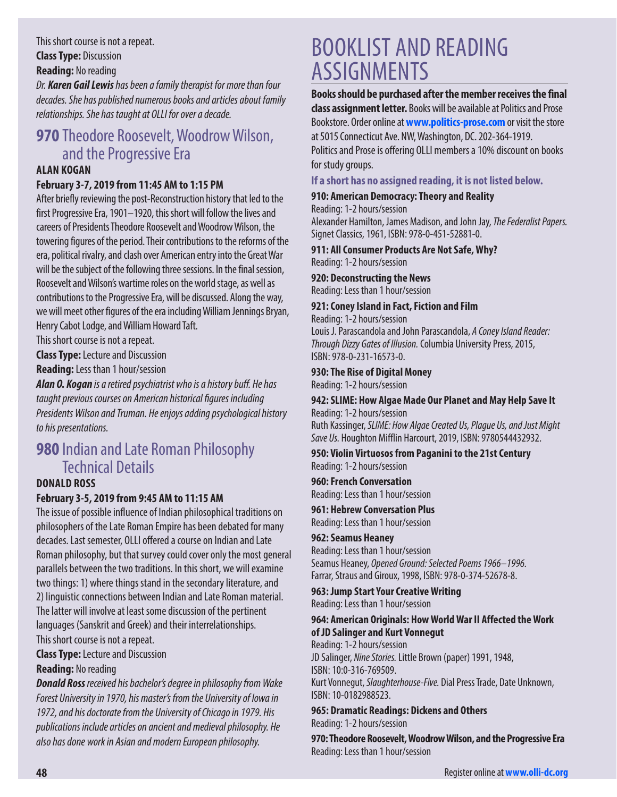This short course is not a repeat. **Class Type:** Discussion

**Reading:** No reading

Dr. **Karen Gail Lewis** has been a family therapist for more than four decades. She has published numerous books and articles about family relationships. She has taught at OLLI for over a decade.

## **970** Theodore Roosevelt, Woodrow Wilson, and the Progressive Era

#### **ALAN KOGAN**

#### **February 3-7, 2019 from 11:45 AM to 1:15 PM**

After briefly reviewing the post-Reconstruction history that led to the first Progressive Era, 1901–1920, this short will follow the lives and careers of Presidents Theodore Roosevelt and Woodrow Wilson, the towering figures of the period. Their contributions to the reforms of the era, political rivalry, and clash over American entry into the Great War will be the subject of the following three sessions. In the final session, Roosevelt and Wilson's wartime roles on the world stage, as well as contributions to the Progressive Era, will be discussed. Along the way, we will meet other figures of the era including William Jennings Bryan, Henry Cabot Lodge, and William Howard Taft.

This short course is not a repeat.

**Class Type:** Lecture and Discussion

**Reading:** Less than 1 hour/session

**Alan O. Kogan** is a retired psychiatrist who is a histor*y buff*. He has taught previous courses on American historic*al figur*es including Presidents Wilson and Truman. He enjoys adding psychological history to his presentations.

## **980** Indian and Late Roman Philosophy Technical Details

#### **DONALD ROSS**

#### **February 3-5, 2019 from 9:45 AM to 11:15 AM**

The issue of possible influence of Indian philosophical traditions on philosophers of the Late Roman Empire has been debated for many decades. Last semester, OLLI offered a course on Indian and Late Roman philosophy, but that survey could cover only the most general parallels between the two traditions. In this short, we will examine two things: 1) where things stand in the secondary literature, and 2) linguistic connections between Indian and Late Roman material. The latter will involve at least some discussion of the pertinent languages (Sanskrit and Greek) and their interrelationships. This short course is not a repeat.

**Class Type:** Lecture and Discussion **Reading:** No reading

**Donald Ross** received his bachelor's degree in philosophy from Wake Forest University in 1970, his master's from the University of Iowa in 1972, and his doctorate from the University of Chicago in 1979. His publications include articles on ancient and medieval philosophy. He also has done work in Asian and modern European philosophy.

# BOOKLIST AND READING ASSIGNMENTS

**Books should be purchased after the member receives the final class assignment letter.** Books will be available at Politics and Prose Bookstore. Order online at **[www.politics-prose.com](http://www.politics-prose.com)** or visit the store at 5015 Connecticut Ave. NW, Washington, DC. 202-364-1919.

Politics and Prose is offering OLLI members a 10% discount on books for study groups.

#### **If a short has no assigned reading, it is not listed below.**

#### **910: American Democracy: Theory and Reality**

Reading: 1-2 hours/session Alexander Hamilton, James Madison, and John Jay, The Federalist Papers. Signet Classics, 1961, ISBN: 978-0-451-52881-0.

#### **911: All Consumer Products Are Not Safe, Why?** Reading: 1-2 hours/session

**920: Deconstructing the News** Reading: Less than 1 hour/session

#### **921: Coney Island in Fact, Fiction and Film**

Reading: 1-2 hours/session Louis J. Parascandola and John Parascandola, A Coney Island Reader: Through Dizzy Gates of Illusion. Columbia University Press, 2015, ISBN: 978-0-231-16573-0.

#### **930: The Rise of Digital Money**

Reading: 1-2 hours/session

#### **942: SLIME: How Algae Made Our Planet and May Help Save It** Reading: 1-2 hours/session

Ruth Kassinger, SLIME: How Algae Created Us, Plague Us, and Just Might Save Us. Houghton Mifflin Harcourt, 2019, ISBN: 9780544432932.

#### **950: Violin Virtuosos from Paganini to the 21st Century** Reading: 1-2 hours/session

**960: French Conversation**

Reading: Less than 1 hour/session

## **961: Hebrew Conversation Plus**

Reading: Less than 1 hour/session

#### **962: Seamus Heaney**

Reading: Less than 1 hour/session Seamus Heaney, Opened Ground: Selected Poems 1966–1996. Farrar, Straus and Giroux, 1998, ISBN: 978-0-374-52678-8.

**963: Jump Start Your Creative Writing** Reading: Less than 1 hour/session

#### **964: American Originals: How World War II Affected the Work of JD Salinger and Kurt Vonnegut**

Reading: 1-2 hours/session JD Salinger, Nine Stories. Little Brown (paper) 1991, 1948, ISBN: 10:0-316-769509. Kurt Vonnegut, Slaughterhouse-Five. Dial Press Trade, Date Unknown, ISBN: 10-0182988523.

#### **965: Dramatic Readings: Dickens and Others** Reading: 1-2 hours/session

**970: Theodore Roosevelt, Woodrow Wilson, and the Progressive Era** Reading: Less than 1 hour/session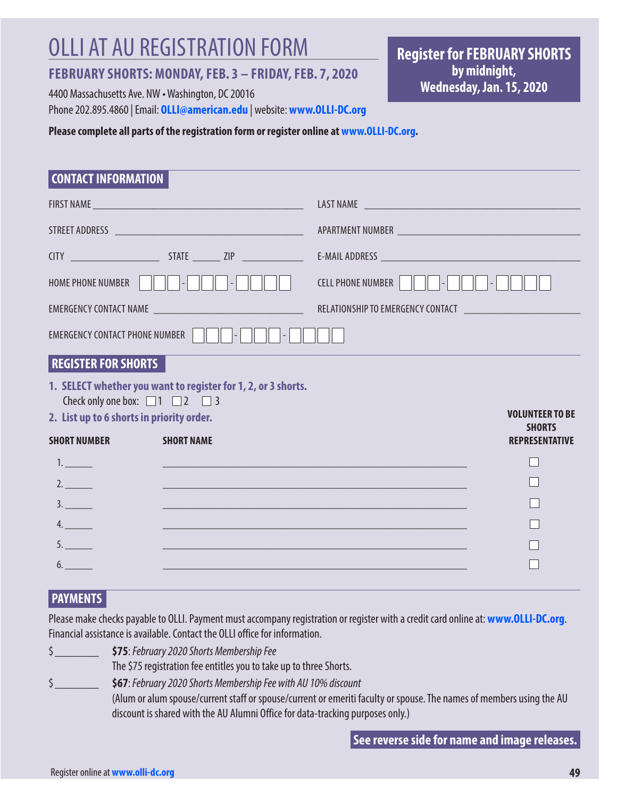# OLLI AT AU REGISTRATION FORM

### **FEBRUARY SHORTS: MONDAY, FEB. 3 – FRIDAY, FEB. 7, 2020**

4400 Massachusetts Ave. NW • Washington, DC 20016 Phone 202.895.4860 | Email: **[OLLI@american.edu](mailto:OLLI@american.edu)** | website: **[www.OLLI-DC.org](http://www.OLLI-DC.org)** **Register for FEBRUARY SHORTS by midnight, Wednesday, Jan. 15, 2020**

#### **Please complete all parts of the registration form or register online at [www.OLLI-DC.org](http://www.OLLI-DC.org).**

| <b>CONTACT INFORMATION</b> |
|----------------------------|
|                            |

| <b>HOME PHONE NUMBER</b>                       | $\vert - \vert$                                               | <b>CELL PHONE NUMBER</b><br>$\overline{\phantom{a}}$ |  |
|------------------------------------------------|---------------------------------------------------------------|------------------------------------------------------|--|
|                                                |                                                               |                                                      |  |
| <b>EMERGENCY CONTACT PHONE NUMBER</b>          |                                                               |                                                      |  |
| <b>REGISTER FOR SHORTS</b>                     |                                                               |                                                      |  |
| Check only one box: $\Box$ 1 $\Box$ 2 $\Box$ 3 | 1. SELECT whether you want to register for 1, 2, or 3 shorts. |                                                      |  |
| 2. List up to 6 shorts in priority order.      |                                                               | <b>VOLUNTEER TO BE</b><br><b>SHORTS</b>              |  |
| <b>SHORT NUMBER</b>                            | <b>SHORT NAME</b>                                             | <b>REPRESENTATIVE</b>                                |  |
| 1.                                             |                                                               |                                                      |  |
| 2.                                             |                                                               |                                                      |  |
| 3.                                             |                                                               |                                                      |  |
| 4.                                             |                                                               |                                                      |  |
| 5.                                             |                                                               |                                                      |  |
| 6.                                             |                                                               |                                                      |  |

### **PAYMENTS**

Please make checks payable to OLLI. Payment must accompany registration or register with a credit card online at: **[www.OLLI-DC.org](http://www.OLLI-DC.org)**. Financial assistance is available. Contact the OLLI office for information.

\$\_\_\_\_\_\_\_ **\$75**: February 2020 Shorts Membership Fee

The \$75 registration fee entitles you to take up to three Shorts.

\$\_\_\_\_\_\_\_ **\$67**: February 2020 Shorts Membership Fee with AU 10% discount

(Alum or alum spouse/current staff or spouse/current or emeriti faculty or spouse. The names of members using the AU discount is shared with the AU Alumni Office for data-tracking purposes only.)

**See reverse side for name and image releases.**